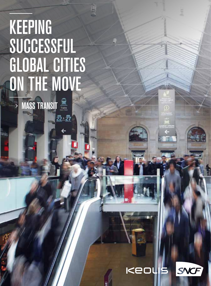# KEEPING SUCCESSFUL GLOBAL CITIES ON THE MOVE

**MASS TRANSIT** 

22:27

SNCF Keour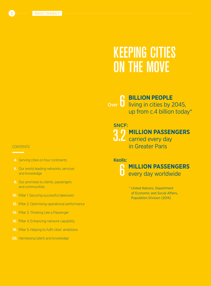## KEEPING CITIES ON THE MOVE

6 **BILLION PEOPLE**  living in cities by 2045, up from c.4 billion today\* Over

### SNCF:

3.2 **MILLION PASSENGERS** carried every day

in Greater Paris

### Keolis:



\* United Nations, Department of Economic and Social Affairs, Population Division (2014)

### **CONTENTS**

- **4.** Serving cities on four continents
- **6.** Our world-leading networks, services and knowledge
- **8.** Our promises to clients, passengers and communities
- **10.** Pillar 1: Securing successful takeovers
- **12.** Pillar 2: Optimising operational performance
- **14.** Pillar 3: Thinking Like a Passenger
- **16.** Pillar 4: Enhancing network capability
- **18.** Pillar 5: Helping to fulfil cities' ambitions
- **20.** Harnessing talent and knowledge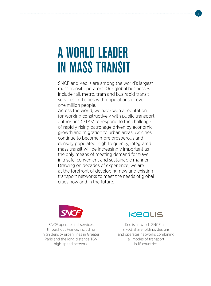## A WORLD LEADER IN MASS TRANSIT

SNCF and Keolis are among the world's largest mass transit operators. Our global businesses include rail, metro, tram and bus rapid transit services in 11 cities with populations of over one million people.

Across the world, we have won a reputation for working constructively with public transport authorities (PTAs) to respond to the challenge of rapidly rising patronage driven by economic growth and migration to urban areas. As cities continue to become more prosperous and densely populated, high frequency, integrated mass transit will be increasingly important as the only means of meeting demand for travel in a safe, convenient and sustainable manner. Drawing on decades of experience, we are at the forefront of developing new and existing transport networks to meet the needs of global cities now and in the future.



SNCF operates rail services throughout France, including high density urban lines in Greater Paris and the long distance TGV high-speed network.



Keolis, in which SNCF has a 70% shareholding, designs and operates networks combining all modes of transport in 16 countries.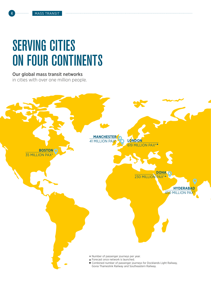## SERVING CITIES ON FOUR CONTINENTS

### Our global mass transit networks

in cities with over one million people.

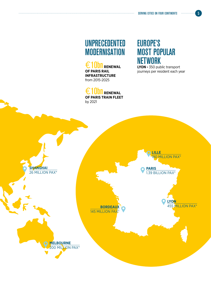SERVING CITIES ON FOUR CONTINENTS **5** SERVING CITIES

### UNPRECEDENTED **MODERNISATION**

€10**D** RENEWAL **OF PARIS RAIL INFRASTRUCTURE**  from 2015-2025

€10**bn** Renewal **OF PARIS TRAIN FLEET**  by 2021

### EUROPE'S MOST POPULAR **NETWORK**

**LYON -** 350 public transport journeys per resident each year

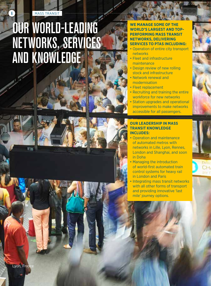**6 MASS TRANSIT** 

## OUR WORLD-LEADING NETWORKS, SERVICES AND KNOWLEDGE



### **WE MANAGE SOME OF THE WORLD'S LARGEST AND TOP-PERFORMING MASS TRANSIT NETWORKS, DELIVERING SERVICES TO PTAS INCLUDING:**

- Operation of entire city transport networks
- Fleet and infrastructure maintenance
- Design review of new rolling stock and infrastructure
- Network renewal and modernisation
- Fleet replacement
- Recruiting and training the entire workforce for new networks
- Station upgrades and operational improvements to make networks accessible for all passengers.

### **OUR LEADERSHIP IN MASS TRANSIT KNOWLEDGE INCLUDES:**

- Operation and maintenance of automated metros with networks in Lille, Lyon, Rennes, London and Shanghai, and soon in Doha
- Managing the introduction of world-first automated train control systems for heavy rail in London and Paris
- Integrating mass transit networks with all other forms of transport and providing innovative 'last mile' journey options.





Lyon, France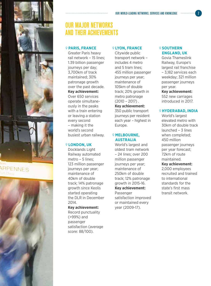





### OUR MAJOR NETWORKS AND THEIR ACHIEVEMENTS

### **PARIS, FRANCE**

Greater Paris heavy rail network – 15 lines; 1.39 billion passenger journeys per day; 3,700km of track maintained; 30% patronage growth over the past decade. **Key achievement:**  Over 650 services operate simultaneously in the peaks with a train entering or leaving a station every second – making it the world's second busiest urban railway.

### **LONDON, UK**

Docklands Light Railway automated metro – 5 lines; 123 million passenger journeys per year; maintenance of 40km of double track; 14% patronage growth since Keolis started operating the DLR in December 2014.

### **Key achievement:**

Record punctuality (>99%) and passenger satisfaction (average score: 88/100).

#### **LYON, FRANCE**

Citywide public transport network – includes 4 metro and 5 tram lines; 455 million passenger journeys per year; maintenance of 105km of double track; 20% growth in metro patronage  $(2010 - 2017)$ .

### **Key achievement:**  350 public transport journeys per resident

each year – highest in Europe.

### **MELBOURNE, AUSTRALIA**

World's largest and oldest tram network – 24 lines; over 200 million passenger journeys per year: maintenance of 250km of double track; 12% patronage growth in 2015-16. **Key achievement:**  Passenger satisfaction improved or maintained every year (2009-17).

### **9 SOUTHERN ENGLAND, UK**

Govia Thameslink Railway, Europe's largest rail franchise – 3,182 services each weekday; 321 million passenger journeys per year.

#### **Key achievement:**  552 new carriages

introduced in 2017.

#### **HYDERABAD, INDIA**

World's largest elevated metro with 30km of double track launched – 3 lines when completed; 450 million passenger journeys per year forecast; 72km of route maintained.

#### **Key achievement:**

2,000 employees recruited and trained to international standards for the state's first mass transit network.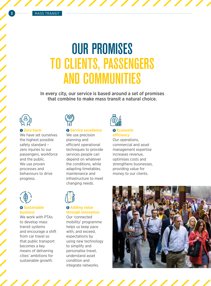## OUR PROMISES TO CLIENTS, PASSENGERS AND COMMUNITIES

In every city, our service is based around a set of promises that combine to make mass transit a natural choice.



### **1 Zero harm**

We have set ourselves the highest possible safety standard – zero injuries to our passengers, workforce and the public. We use proven processes and behaviours to drive progress.



### **4 Sustainable business**

We work with PTAs to develop mass transit systems and encourage a shift from car travel so that public transport becomes a key means of delivering cities' ambitions for sustainable growth.

### **2 Service excellence**

We use precision planning and efficient operational techniques to provide services people can depend on whatever the conditions, while adapting timetables, maintenance and infrastructure to meet changing needs.



### **3 Economic efficiency**

Our operations, commercial and asset management expertise increases revenue, optimises costs and strengthens businesses, providing value for money to our clients.



### **5 Adding value through innovation**

Our 'connected mobility' programme helps us keep pace with, and exceed, expectations by using new technology to simplify and personalise travel, understand asset condition and integrate networks.

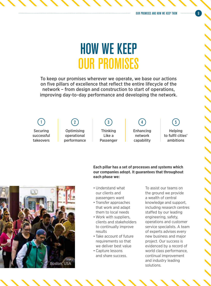## HOW WE KEEP OUR PROMISES

To keep our promises wherever we operate, we base our actions on five pillars of excellence that reflect the entire lifecycle of the network – from design and construction to start of operations, improving day-to-day performance and developing the network.

Securing successful takeovers

**Optimising** operational performance

Thinking Like a Passenger

Enhancing network 1 (2) (3) (4) (5

capability

Helping to fulfil cities'

ambitions

**Each pillar has a set of processes and systems which our companies adopt. It guarantees that throughout each phase we:**

- Understand what our clients and passengers want
- Transfer approaches that work and adapt them to local needs
- Work with suppliers, clients and stakeholders to continually improve results
- Take account of future requirements so that we deliver best value
- Capture lessons and share success.

To assist our teams on the ground we provide a wealth of central knowledge and support, including research centres staffed by our leading engineering, safety, operations and customer service specialists. A team of experts advises every new business and major project. Our success is evidenced by a record of world class performance, continual improvement and industry leading solutions.

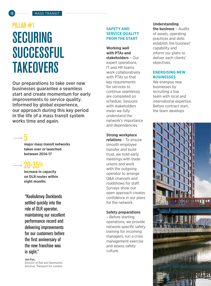### **MASS TRANSIT**

## PILLAR #1 SECURING **SUCCESSFUL TAKEOVERS**

Our preparations to take over new businesses guarantee a seamless start and create momentum for early improvements to service quality. Informed by global experience, our approach during this key period in the life of a mass transit system works time and again.

### 5

**major mass transit networks taken over or launched between 2014-17**

### 20-35%

**increase in capacity on DLR routes within eight months**

"KeolisAmey Docklands settled quickly into the role of DLR operator, maintaining our excellent performance record and delivering improvements for our customers before the first anniversary of the new franchise was in sight."

**Jon Fox,** Director of Rail and Sponsored Services, Transport for London

### **SAFETY AND SERVICE QUALITY FROM THE START**

**Working well with PTAs and stakeholders** – Our expert operations, IT and HR teams work collaboratively with PTAs so that key requirements for services to continue seamlessly are completed on schedule. Sessions with stakeholders mean we fully understand the network's importance and dependencies.

#### **Strong workplace**

**relations** – To ensure smooth employee transfer and build trust, we hold early meetings with trade unions and work with the outgoing operator to arrange Q&A channels and roadshows for staff. Surveys show our open approach creates confidence in our plans for the network.

#### **Safety preparations**

– Before starting operations, we provide network-specific safety training for incoming managers, run a crisis management exercise and assess safety culture.

### **Understanding**

**the business** – Audits of assets, operating practices and skills establish the business' capability and inform our plans to deliver each clients' objectives.

### **ENERGISING NEW BUSINESSES**

We energise new businesses by recruiting a top team with local and international expertise. Before contract start, the team develops

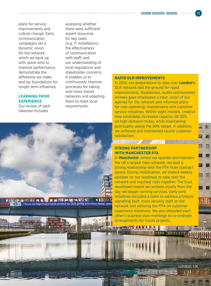plans for service improvements and culture change. Early communication campaigns set a dynamic vision for the network which we back up with quick wins to improve performance, demonstrate the difference we make and lay foundations for longer term initiatives.

#### **LEARNING FROM EXPERIENCE**

Our review of each takeover includes

*HOLEMETA COMPANY* 

**B** ad n B

program when

Three-carriage trains have arrived on DLR giving you more seats, space

- 68

assessing whether there were sufficient expert resources for key tasks (e.g. IT installation), the effectiveness of communication with staff, and our understanding of local regulations and stakeholder concerns. It enables us to continuously improve processes for taking over mass transit networks and adapting them to meet local requirements.

### **RAPID DLR IMPROVEMENTS**

In 2014, our preparations to take over **London's** DLR network laid the ground for rapid improvements. Roadshows, audits and business reviews gave employees a clear vision of our agenda for the network and informed plans for new operating, maintenance and customer service initiatives. Within eight months, creative new timetables increased capacity 20-35% on high demand routes, while maintaining punctuality above the 99% target. In addition, we achieved and maintained record customer satisfaction.

### **STRONG PARTNERSHIP WITH MANCHESTER PTA**

*BALLUARE* 

In **Manchester**, where we operate and maintain the UK's largest tram network, we built a strong relationship with the PTA from contract award. During mobilisation, we shared weekly updates on our readiness to take over the network and resolved risks together. The trust developed meant we worked closely from the day we began running services. Early joint initiatives included a team to address a historic signalling fault, more security staff on the network and advising the PTA on customer experience initiatives. We also attended each other's business plan meetings to co-ordinate arrangements for future projects.

London, UK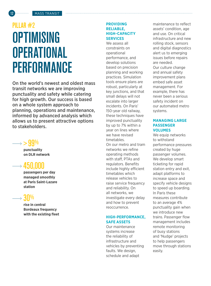## PILLAR #2 **OPTIMISING OPERATIONAL PERFORMANCE**

On the world's newest and oldest mass transit networks we are improving punctuality and safety while catering for high growth. Our success is based on a whole system approach to planning, operations and maintenance, informed by advanced analysis which allows us to present attractive options to stakeholders.

### $\rightarrow$   $>$  99

**punctuality on DLR network**

### 450,000

**passengers per day managed smoothly at Paris Saint-Lazare station**

### $\rightarrow$  30%

**rise in central Bordeaux frequency with the existing fleet**

### **PROVIDING RELIABLE, HIGH-CAPACITY SERVICES**

We assess all constraints on operational performance, and develop solutions based on precision planning and working practices. Simulation tools ensure plans are robust, particularly at key junctions, and that small delays will not escalate into larger incidents. On Paris' 150-year old railway, these techniques have improved punctuality by up to 7% within a year on lines where we have revised timetables. On our metro and tram networks we refine operating methods with staff, PTAs and regulators. Benefits include highly efficient timetables which release vehicles to raise service frequency and reliability. On all networks, we investigate every delay and how to prevent reoccurrence.

### **HIGH-PERFORMANCE, SAFE ASSETS**

Our maintenance systems increase the reliability of infrastructure and vehicles by preventing faults. We design, schedule and adapt

maintenance to reflect assets' condition, age and use. On critical infrastructure and new rolling stock, sensors and digital diagnostics alert us to emerging issues before repairs are needed. Our culture change and annual safety improvement plans embed safe asset management. For example, there has never been a serious safety incident on our automated metro systems.

### **MANAGING LARGE PASSENGER VOLUMES**

We equip networks to withstand performance pressures created by huge passenger volumes. We develop smart ticketing for rapid station entry and exit, adapt platforms to increase space and specify vehicle designs to speed up boarding. In Paris these measures contribute to an average 4% punctuality gain when we introduce new trains. Passenger flow management includes remote monitoring of busy stations and 'Nudge' projects to help passengers move through stations easily.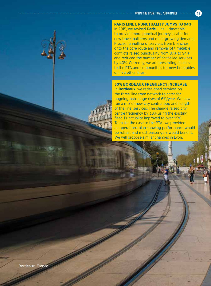### **PARIS LINE L PUNCTUALITY JUMPS TO 94%**

In 2015, we revised **Paris**' Line L timetable to provide more punctual journeys, cater for new travel patterns and meet growing demand. Precise funnelling of services from branches onto the core route and removal of timetable conflicts raised punctuality from 87% to 94% and reduced the number of cancelled services by 40%. Currently, we are presenting choices to the PTA and communities for new timetables on five other lines.

### **30% BORDEAUX FREQUENCY INCREASE**

In **Bordeaux**, we redesigned services on the three-line tram network to cater for ongoing patronage rises of 6%/year. We now run a mix of new city centre loop and 'length of the line' services. The change raised city centre frequency by 30% using the existing fleet. Punctuality improved to over 95%. To make the case to the PTA, we provided an operations plan showing performance would be robust and most passengers would benefit. We will propose similar changes in Lyon.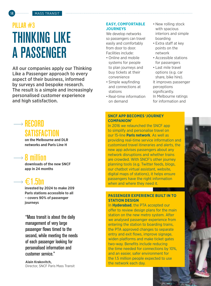## PILLAR #3 THINKING LIKE A PASSENGER

All our companies apply our Thinking Like a Passenger approach to every aspect of their business, informed by surveys and bespoke research. The result is a simple and increasingly personalised customer experience and high satisfaction.

### $\longrightarrow$  RECORD **SATISFACTION**

**on the Melbourne and DLR networks and Paris Line H**

### $\rightarrow$  8 million

**downloads of the new SNCF app in 24 months**

### €1.5bn

**invested by 2024 to make 209 Paris stations accessible to all – covers 90% of passenger journeys** 

"Mass transit is about the daily management of very large passenger flows timed to the second, while meeting the needs of each passenger looking for personalised information and customer service."

**Alain Krakovitch,**  Director, SNCF Paris Mass Transit

### **EASY, COMFORTABLE JOURNEYS**

We develop networks so passengers can travel easily and comfortably from door to door. Facilities include:

- Online and mobile systems for people to plan journeys and buy tickets at their convenience
- Simple wayfinding and connections at stations
- Real-time information on demand
- New rolling stock with spacious interiors and simple boarding
- Extra staff at key points on the network
- Accessible stations for passengers
- Last mile travel options (e.g. car share, bike hire). It improves passenger perceptions significantly. In Melbourne ratings for information and

### **SNCF APP BECOMES 'JOURNEY COMPANION'**

In 2016 we relaunched the SNCF app to simplify and personalise travel on our 15-line **Paris network**. As well as providing real-time service information and customised travel itineraries and alerts, the new app advises passengers about any network disruptions and whether trains are crowded. With SNCF's other journey planning tools (e.g. Twitter feeds, blogs, our chatbot virtual assistant, website, digital maps of stations), it helps ensure passengers have the right information when and where they need it.

### **PASSENGER EXPERIENCE BUILT IN TO STATION DESIGN**

In **Hyderabad**, the PTA accepted our offer to review design plans for the main station on the new metro system. After we analysed passenger experience from entering the station to boarding trains, the PTA approved changes to separate entry and exit flows, improve signage, widen platforms and make ticket gates two-way. Benefits include reducing the time needed for connections by 10%, and an easier, safer environment for the 1.5 million people expected to use the network each day.

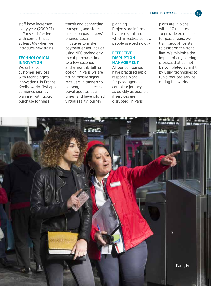staff have increased every year (2009-17). In Paris satisfaction with comfort rises at least 6% when we introduce new trains.

### **TECHNOLOGICAL INNOVATION**

We enhance customer services with technological innovations. In France, Keolis' world-first app combines journey planning with ticket purchase for mass

transit and connecting transport, and stores tickets on passengers' phones. Local initiatives to make payment easier include using NFC technology to cut purchase time to a few seconds and a monthly billing option. In Paris we are fitting mobile signal receivers in tunnels so passengers can receive travel updates at all times, and have piloted virtual reality journey

planning. Projects are informed by our digital lab, which investigates how people use technology.

### **EFFECTIVE DISRUPTION MANAGEMENT**

All our companies have practised rapid response plans for passengers to complete journeys as quickly as possible, if services are disrupted. In Paris

plans are in place within 10 minutes. To provide extra help for passengers, we train back office staff to assist on the front line. We minimise the impact of engineering projects that cannot be completed at night by using techniques to run a reduced service during the works.

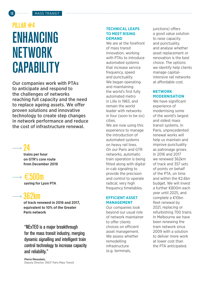## PILLAR #4 ENHANCING NETWORK **CAPABILITY**

Our companies work with PTAs to anticipate and respond to the challenges of networks reaching full capacity and the need to replace ageing assets. We offer proven solutions and innovative technology to create step changes in network performance and reduce the cost of infrastructure renewal.

### $\rightarrow$  24

**trains per hour on GTR's core route from December 2019** 



**saving for Lyon PTA**

## 362km

**of track renewed in 2016 and 2017, equivalent to 10% of the Greater Paris network**

"NExTEO is a major breakthrough for the mass transit industry, merging dynamic signalling and intelligent train control technology to increase capacity and reliability."

#### **TECHNICAL LEAPS TO MEET RISING DEMAND**

We are at the forefront of mass transit innovation, working with PTAs to introduce automated systems that increase service frequency, speed and punctuality. We began operating and maintaining the world's first fully automated metro in Lille in 1983, and remain the world leader with networks in four (soon to be six) cities.

We are now using this experience to manage the introduction of automated systems on heavy rail lines. On our Paris and GTR networks, automatic train operation is being fitted along with digital in-cab signaling to provide the precision and control to operate radical, very high frequency timetables.

### **EFFICIENT ASSET MANAGEMENT**

Our companies look beyond our usual role of network maintainer to offer clients choices on efficient asset management. We assess whether remodelling infrastructure (e.g. terminals,

junctions) offers a good value solution to raise capacity and punctuality, and analyse whether asset replacement or renovation is the best choice. The options we identify help clients manage capitalintensive rail networks at affordable cost.

### **NETWORK MODERNISATION**

We have significant experience of modernising some of the world's largest and oldest mass transit systems. In Paris, unprecedented renewal works will help us maintain and improve punctuality as patronage grows. In 2016 and 2017 we renewed 362km of track and 357 sets of points on behalf of the PTA, on time and within the €2.6bn budget. We will invest a further €800m each year until 2025, and complete a €10bn fleet renewal by 2021, replacing or refurbishing 700 trains. In Melbourne we have been renewing the tram network since 2009 with a solution to deliver more work at lower cost than the PTA anticipated.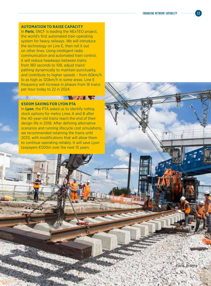### **AUTOMATION TO RAISE CAPACITY**

In **Paris**, SNCF is leading the NExTEO project, the world's first automated train operating system for heavy railways. We will introduce the technology on Line E, then roll it out on other lines. Using intelligent radio communication and automated train control, it will reduce headways between trains from 180 seconds to 108, adjust trains' pathing dynamically to maintain punctuality, and contribute to higher speeds – from 60km/h to as high as 120km/h in some areas. Line E frequency will increase in phases from 16 trains per hour today to 22 in 2024.

#### **€500M SAVING FOR LYON PTA**

In **Lyon**, the PTA asked us to identify rolling stock options for metro Lines A and B after the 40-year-old trains reach the end of their design life in 2018. After defining alternative scenarios and running lifecycle cost simulations, we recommended retaining the trains until 2033, with modifications that will allow them to continue operating reliably. It will save Lyon taxpayers €500m over the next 15 years.

**SEARCH AND STATE OF STATE OF STATE OF STATE OF STATE OF STATE OF STATE OF STATE OF STATE OF STATE OF STATE OF S** 

Paris, France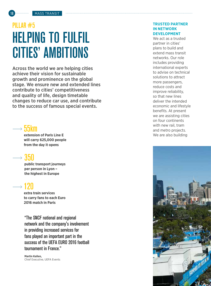## PILLAR #5 HELPING TO FULFIL CITIES' AMBITIONS

Across the world we are helping cities achieve their vision for sustainable growth and prominence on the global stage. We ensure new and extended lines contribute to cities' competitiveness and quality of life, design timetable changes to reduce car use, and contribute to the success of famous special events.

### 55km

**extension of Paris Line E will carry 625,000 people from the day it opens** 

## 350

**public transport journeys per person in Lyon – the highest in Europe**

### 120

**extra train services to carry fans to each Euro 2016 match in Paris**

"The SNCF national and regional network and the company's involvement in providing increased services for fans played an important part in the success of the UEFA EURO 2016 football tournament in France."

**Martin Kallen,**  Chief Executive, UEFA Events

### **TRUSTED PARTNER IN NETWORK DEVELOPMENT**

We act as a trusted partner in cities' plans to build and extend mass transit networks. Our role includes providing international experts to advise on technical solutions to attract more passengers, reduce costs and improve reliability, so that new lines deliver the intended economic and lifestyle benefits. At present we are assisting cities on four continents with new rail, tram and metro projects. We are also building

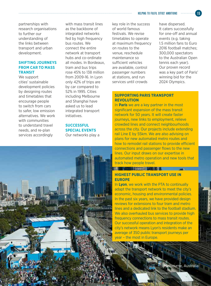partnerships with research organisations to further our understanding of the links between transport and urban development.

### **SHIFTING JOURNEYS FROM CAR TO MASS TRANSIT**

We support cities' sustainable development policies by designing routes and timetables that encourage people to switch from cars to safer, low emission alternatives. We work with communities to understand travel needs, and re-plan services accordingly

with mass transit lines as the backbone of integrated networks fed by high frequency bus routes. We connect the entire network at transport hubs and co-ordinate all modes. In Bordeaux, tram and bus trips rose 45% to 138 million from 2009-16. In Lyon only 42% of trips are by car compared to 52% in 1995. Cities including Melbourne and Shanghai have asked us to lead integrated transport initiatives.

### **SUCCESSFUL SPECIAL EVENTS**

Our networks play a



key role in the success of world famous festivals. We revise timetables to operate at maximum frequency on routes to the venue, reschedule maintenance so sufficient vehicles are available, control passenger numbers at stations, and run services until crowds

have dispersed. It caters successfully for one-off and annual events (e.g. taking 1.5 million fans to Euro 2016 football matches; 300,000 spectators to the Australian Open tennis each year). Our proven record was a key part of Paris' winning bid for the 2024 Olympics.

### **SUPPORTING PARIS TRANSPORT REVOLUTION**

In **Paris** we are a key partner in the most significant expansion of the mass transit network for 50 years. It will create faster journeys, new links to employment, relieve crowded lines and connect neighbourhoods across the city. Our projects include extending rail Line E by 55km. We are also advising on plans for new automated metro routes and how to remodel rail stations to provide efficient connections and passenger flows to the new lines. Our input draws on our expertise in automated metro operation and new tools that track how people travel.

STREETS WITH

### **HIGHEST PUBLIC TRANSPORT USE IN EUROPE**

In **Lyon**, we work with the PTA to continually adapt the transport network to meet the city's economic, housing and environmental policies. In the past six years, we have provided design reviews for extensions to four tram and metro lines and a dedicated link to the football stadium. We also overhauled bus services to provide high frequency connections to mass transit routes. Our successful operation and integration of the city's network means Lyon's residents make an average of 350 public transport journeys per year – the most in Europe.

Melbourne, Australia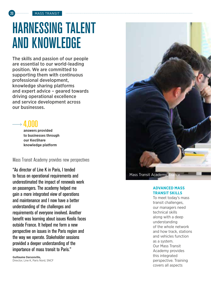

## HARNESSING TALENT AND KNOWLEDGE

The skills and passion of our people are essential to our world-leading position. We are committed to supporting them with continuous professional development, knowledge sharing platforms and expert advice – geared towards driving operational excellence and service development across our businesses.

4,000

**answers provided to businesses through our KeoShare knowledge platform**

Mass Transit Academy provides new perspectives

"As director of Line K in Paris, I tended to focus on operational requirements and underestimated the impact of renewals work on passengers. The academy helped me gain a more integrated view of operations and maintenance and I now have a better understanding of the challenges and requirements of everyone involved. Another benefit was learning about issues Keolis faces outside France. It helped me form a new perspective on issues in the Paris region and the way we operate. Stakeholder sessions provided a deeper understanding of the importance of mass transit to Paris."

**Guillaume Darsonville,**  Director, Line K, Paris Nord, SNCF



Mass Transit Academy, F

#### **ADVANCED MASS TRANSIT SKILLS**

To meet today's mass transit challenges, our managers need technical skills along with a deep understanding of the whole network and how track, stations and vehicles function as a system. Our Mass Transit Academy provides this integrated perspective. Training covers all aspects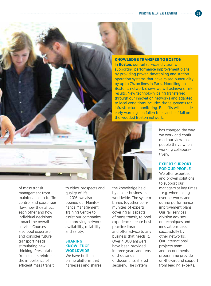### **KNOWLEDGE TRANSFER TO BOSTON**

In **Boston**, our rail services division is supporting performance improvement plans by providing proven timetabling and station operation systems that have raised punctuality by up to 7% on lines in Paris. Modelling on Boston's network shows we will achieve similar results. New technology being transferred through our innovation networks and adapted to local conditions includes drone systems for infrastructure monitoring. Benefits will include early warnings on fallen trees and leaf fall on the wooded Boston network.

> has changed the way we work and confirmed our view that people thrive when working collaboratively.

### **EXPERT SUPPORT FOR OUR PEOPLE**

We offer expertise and proven solutions to support our managers at key times – e.g. when taking over networks and during performance improvement plans. Our rail services division advises on techniques and innovations used successfully by other networks. Our international projects team and secondments programme provide on-the-ground support from leading experts.

of mass transit management from maintenance to traffic control and passenger flow, how they affect each other and how individual decisions impact the overall service. Courses also pool expertise and consider future transport needs, stimulating new thinking. Presentations from clients reinforce the importance of efficient mass transit

to cities' prospects and quality of life. In 2016, we also opened our Maintenance Management Training Centre to assist our companies in improving network availability, reliability and safety.

### **SHARING KNOWLEDGE WORLDWIDE**

We have built an online platform that harnesses and shares the knowledge held by all our businesses worldwide. The system brings together communities of experts, covering all aspects of mass transit, to pool experience, create best practice libraries and offer advice to any business that needs it. Over 4,000 answers have been provided in three years and tens of thousands of documents shared securely. The system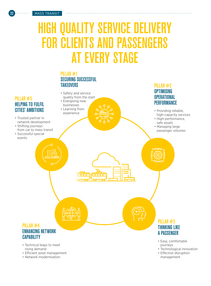## HIGH QUALITY SERVICE DELIVERY FOR CLIENTS AND PASSENGERS AT EVERY STAGE

PILLAR #2

• Technological innovation • Effective disruption management

### PILLAR #1 SECURING SUCCESSFUL **TAKEOVERS**



- Technical leaps to meet rising demand
- Efficient asset management
- Network modernisation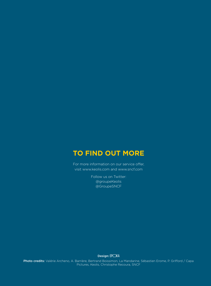### **TO FIND OUT MORE**

For more information on our service offer, visit www.keolis.com and www.sncf.com

> Follow us on Twitter: @groupeKeolis @GroupeSNCF

> > Design: EP<sub>OKA</sub>

Photo credits: Valérie Archeno, A. Barrière, Bertrand Boissimon, La Mandarine, Sébastien Erome, P. Grifford / Capa Pictures, Keolis, Christophe Recoura, SNCF